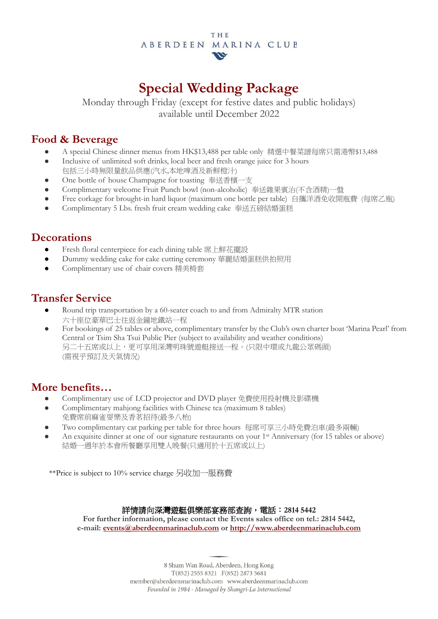#### THE ABERDEEN MARINA CLUB  $\boldsymbol{\omega}$

## **Special Wedding Package**

Monday through Friday (except for festive dates and public holidays) available until December 2022

#### **Food & Beverage**

- A special Chinese dinner menus from HK\$13,488 per table only 精選中餐菜譜每席只需港幣\$13,488
- Inclusive of unlimited soft drinks, local beer and fresh orange juice for 3 hours
- 包括三小時無限量飲品供應(汽水,本地啤酒及新鮮橙汁)
- One bottle of house Champagne for toasting 奉送香檳一支
- Complimentary welcome Fruit Punch bowl (non-alcoholic) 奉送雜果賓治(不含酒精)一盤
- Free corkage for brought-in hard liquor (maximum one bottle per table) 自攜洋酒免收開瓶費 (每席乙瓶)
- Complimentary 5 Lbs. fresh fruit cream wedding cake 奉送五磅結婚蛋糕

#### **Decorations**

- Fresh floral centerpiece for each dining table 席上鮮花擺設
- Dummy wedding cake for cake cutting ceremony 華麗結婚蛋糕供拍照用
- Complimentary use of chair covers 精美椅套

### **Transfer Service**

- Round trip transportation by a 60-seater coach to and from Admiralty MTR station 六十座位豪華巴士往返金鐘地鐵站一程
- For bookings of 25 tables or above, complimentary transfer by the Club's own charter boat 'Marina Pearl' from Central or Tsim Sha Tsui Public Pier (subject to availability and weather conditions) 另二十五席或以上,更可享用深灣明珠號遊艇接送一程。(只限中環或九龍公眾碼頭) (需視乎預訂及天氣情況)

### **More benefits…**

- Complimentary use of LCD projector and DVD player 免費使用投射機及影碟機
- Complimentary mahjong facilities with Chinese tea (maximum 8 tables) 免費席前麻雀耍樂及香茗招待(最多八枱)
- Two complimentary car parking per table for three hours 每席可享三小時免費泊車(最多兩輛)
- An exquisite dinner at one of our signature restaurants on your 1<sup>st</sup> Anniversary (for 15 tables or above) 結婚一週年於本會所餐廳享用雙人晚餐(只適用於十五席或以上)

\*\*Price is subject to 10% service charge 另收加一服務費

#### 詳情請向深灣遊艇俱樂部宴務部查詢,電話:**2814 5442**

**For further information, please contact the Events sales office on tel.: 2814 5442, e-mail: [events@aberdeenmarinaclub.com](mailto:events@aberdeenmarinaclub.com) o[r http://www.aberdeenmarinaclub.com](http://www.aberdeenmarinaclub.com/)**

> 8 Shum Wan Road, Aberdeen, Hong Kong  $T(852)$  2555 8321  $F(852)$  2873 5681 member@aberdeenmarinaclub.com www.aberdeenmarinaclub.com Founded in 1984 - Managed by Shangri-La International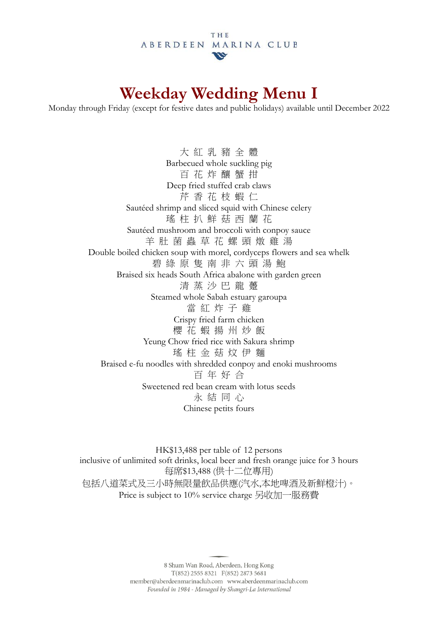# **Weekday Wedding Menu I**

Monday through Friday (except for festive dates and public holidays) available until December 2022

大 紅 乳 豬 全 體 Barbecued whole suckling pig 百 花 炸 釀 蟹 拑 Deep fried stuffed crab claws 芹 香 花 枝 蝦 仁 Sautéed shrimp and sliced squid with Chinese celery 瑤 柱 扒 鮮 菇 西 蘭 花 Sautéed mushroom and broccoli with conpoy sauce 羊 肚 菌 蟲 草 花 螺 頭 燉 雞 湯 Double boiled chicken soup with morel, cordyceps flowers and sea whelk 碧 綠 原 隻 南 非 六 頭 湯 鮑 Braised six heads South Africa abalone with garden green 清 蒸 沙 巴 龍 躉 Steamed whole Sabah estuary garoupa 當 紅 炸 子 雞 Crispy fried farm chicken 櫻 花 蝦 揚 州 炒 飯 Yeung Chow fried rice with Sakura shrimp 瑤 柱 金 菇 炆 伊 麵 Braised e-fu noodles with shredded conpoy and enoki mushrooms 百 年 好 合 Sweetened red bean cream with lotus seeds 永 結 同 心 Chinese petits fours

HK\$13,488 per table of 12 persons inclusive of unlimited soft drinks, local beer and fresh orange juice for 3 hours 每席\$13,488 (供十二位專用) 包括八道菜式及三小時無限量飲品供應(汽水,本地啤酒及新鮮橙汁)。 Price is subject to 10% service charge 另收加一服務費

> 8 Shum Wan Road, Aberdeen, Hong Kong  $T(852)$  2555 8321  $F(852)$  2873 5681 member@aberdeenmarinaclub.com www.aberdeenmarinaclub.com Founded in 1984 - Managed by Shangri-La International